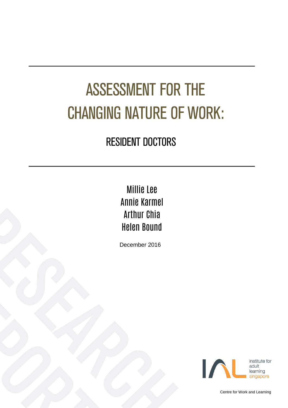# ASSESSMENT FOR THE CHANGING NATURE OF WORK:

### RESIDENT DOCTORS

Millie Lee Annie Karmel Arthur Chia Helen Bound

December 2016



Centre for Work and Learning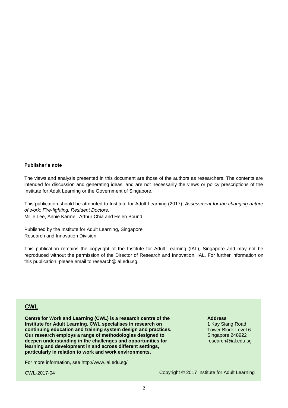#### **Publisher's note**

The views and analysis presented in this document are those of the authors as researchers. The contents are intended for discussion and generating ideas, and are not necessarily the views or policy prescriptions of the Institute for Adult Learning or the Government of Singapore.

This publication should be attributed to Institute for Adult Learning (2017). *Assessment for the changing nature of work: Fire-fighting: Resident Doctors.*

Millie Lee, Annie Karmel, Arthur Chia and Helen Bound.

Published by the Institute for Adult Learning, Singapore Research and Innovation Division

This publication remains the copyright of the Institute for Adult Learning (IAL), Singapore and may not be reproduced without the permission of the Director of Research and Innovation, IAL. For further information on this publication, please email to research@ial.edu.sg.

### **CWL**

**Centre for Work and Learning (CWL) is a research centre of the Institute for Adult Learning. CWL specialises in research on continuing education and training system design and practices. Our research employs a range of methodologies designed to deepen understanding in the challenges and opportunities for learning and development in and across different settings, particularly in relation to work and work environments.**

For more information, see<http://www.ial.edu.sg/>

CWL-2017-04

#### **Address**

1 Kay Siang Road Tower Block Level 6 Singapore 248922 research@ial.edu.sg

Copyright © 2017 Institute for Adult Learning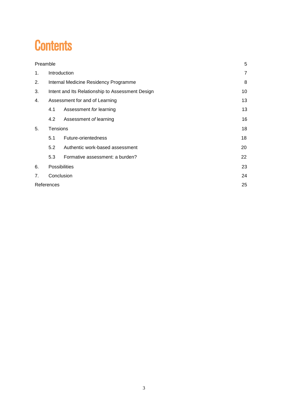### **Contents**

| Preamble |                                                  |                                 | 5  |  |  |  |  |
|----------|--------------------------------------------------|---------------------------------|----|--|--|--|--|
| 1.       | Introduction                                     |                                 |    |  |  |  |  |
| 2.       | Internal Medicine Residency Programme            |                                 |    |  |  |  |  |
| 3.       | Intent and Its Relationship to Assessment Design |                                 |    |  |  |  |  |
| 4.       | Assessment for and of Learning                   |                                 |    |  |  |  |  |
|          | 4.1                                              | Assessment for learning         | 13 |  |  |  |  |
|          | 4.2                                              | Assessment of learning          | 16 |  |  |  |  |
| 5.       | <b>Tensions</b>                                  |                                 |    |  |  |  |  |
|          | 5.1                                              | Future-orientedness             | 18 |  |  |  |  |
|          | 5.2                                              | Authentic work-based assessment | 20 |  |  |  |  |
|          | 5.3                                              | Formative assessment: a burden? | 22 |  |  |  |  |
| 6.       | <b>Possibilities</b>                             |                                 |    |  |  |  |  |
| 7.       | Conclusion                                       |                                 |    |  |  |  |  |
|          | References                                       |                                 |    |  |  |  |  |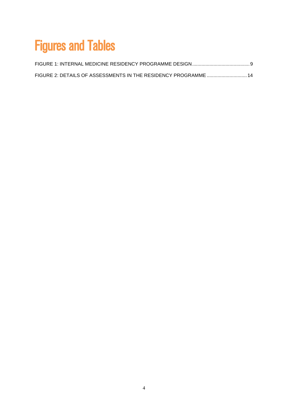# Figures and Tables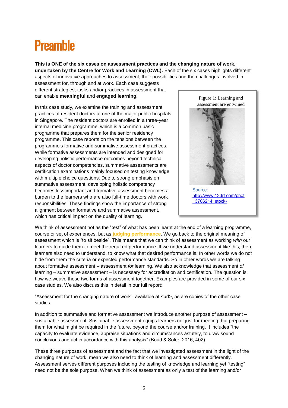### <span id="page-4-0"></span>**Preamhle**

**This is ONE of the six cases on assessment practices and the changing nature of work, undertaken by the Centre for Work and Learning (CWL).** Each of the six cases highlights different aspects of innovative approaches to assessment, their possibilities and the challenges involved in

assessment for, through and at work. Each case suggests different strategies, tasks and/or practices in assessment that can enable **meaningful** and **engaged learning.** 

In this case study, we examine the training and assessment practices of resident doctors at one of the major public hospitals in Singapore. The resident doctors are enrolled in a three-year internal medicine programme, which is a common basic programme that prepares them for the senior residency programme. This case reports on the tensions between the programme's formative and summative assessment practices. While formative assessments are intended and designed for developing holistic performance outcomes beyond technical aspects of doctor competencies, summative assessments are certification examinations mainly focused on testing knowledge with multiple choice questions. Due to strong emphasis on summative assessment, developing holistic competency becomes less important and formative assessment becomes a burden to the learners who are also full-time doctors with work responsibilities. These findings show the importance of strong alignment between formative and summative assessment, which has critical impact on the quality of learning.



http://www.123rf.com/phot 3706214 stock-

We think of assessment not as the "test" of what has been learnt at the end of a learning programme, course or set of experiences, but as **judging performance**. We go back to the original meaning of assessment which is "to sit beside". This means that we can think of assessment as working *with* our learners to guide them to meet the required performance. If we understand assessment like this, then learners also need to understand, to know what that desired performance is. In other words we do not hide from them the criteria or expected performance standards. So in other words we are talking about formative assessment – assessment *for* learning. We also acknowledge that assessment *of* learning – summative assessment – is necessary for accreditation and certification. The question is how we weave these two forms of assessment together. Examples are provided in some of our six case studies. We also discuss this in detail in our full report:

"Assessment for the changing nature of work", available at <url>, as are copies of the other case studies.

In addition to summative and formative assessment we introduce another purpose of assessment – sustainable assessment. Sustainable assessment equips learners not just for meeting, but preparing them for what might be required in the future, beyond the course and/or training. It includes "the capacity to evaluate evidence, appraise situations and circumstances astutely, to draw sound conclusions and act in accordance with this analysis" (Boud & Soler, 2016, 402).

These three purposes of assessment and the fact that we investigated assessment in the light of the changing nature of work, mean we also need to think of learning and assessment differently. Assessment serves different purposes including the testing of knowledge and learning yet "testing" need not be the sole purpose. When we think of assessment as only a test of the learning and/or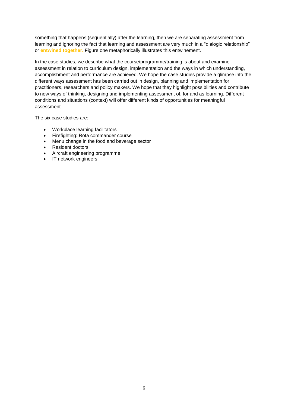something that happens (sequentially) after the learning, then we are separating assessment from learning and ignoring the fact that learning and assessment are very much in a "dialogic relationship" or **entwined together.** Figure one metaphorically illustrates this entwinement.

In the case studies, we describe what the course/programme/training is about and examine assessment in relation to curriculum design, implementation and the ways in which understanding, accomplishment and performance are achieved. We hope the case studies provide a glimpse into the different ways assessment has been carried out in design, planning and implementation for practitioners, researchers and policy makers. We hope that they highlight possibilities and contribute to new ways of thinking, designing and implementing assessment of, for and as learning. Different conditions and situations (context) will offer different kinds of opportunities for meaningful assessment.

The six case studies are:

- Workplace learning facilitators
- Firefighting: Rota commander course
- Menu change in the food and beverage sector
- Resident doctors
- Aircraft engineering programme
- IT network engineers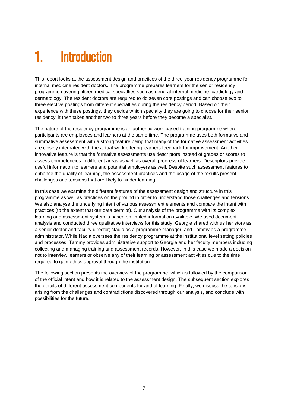### <span id="page-6-0"></span>1. Introduction

This report looks at the assessment design and practices of the three-year residency programme for internal medicine resident doctors. The programme prepares learners for the senior residency programme covering fifteen medical specialties such as general internal medicine, cardiology and dermatology. The resident doctors are required to do seven core postings and can choose two to three elective postings from different specialties during the residency period. Based on their experience with these postings, they decide which specialty they are going to choose for their senior residency; it then takes another two to three years before they become a specialist.

The nature of the residency programme is an authentic work-based training programme where participants are employees and learners at the same time. The programme uses both formative and summative assessment with a strong feature being that many of the formative assessment activities are closely integrated with the actual work offering learners feedback for improvement. Another innovative feature is that the formative assessments use descriptors instead of grades or scores to assess competencies in different areas as well as overall progress of learners. Descriptors provide useful information to learners and potential employers as well. Despite such assessment features to enhance the quality of learning, the assessment practices and the usage of the results present challenges and tensions that are likely to hinder learning.

In this case we examine the different features of the assessment design and structure in this programme as well as practices on the ground in order to understand those challenges and tensions. We also analyse the underlying intent of various assessment elements and compare the intent with practices (to the extent that our data permits). Our analysis of the programme with its complex learning and assessment system is based on limited information available. We used document analysis and conducted three qualitative interviews for this study: Georgie shared with us her story as a senior doctor and faculty director; Nadia as a programme manager; and Tammy as a programme administrator. While Nadia oversees the residency programme at the institutional level setting policies and processes, Tammy provides administrative support to Georgie and her faculty members including collecting and managing training and assessment records. However, in this case we made a decision not to interview learners or observe any of their learning or assessment activities due to the time required to gain ethics approval through the institution.

The following section presents the overview of the programme, which is followed by the comparison of the official intent and how it is related to the assessment design. The subsequent section explores the details of different assessment components for and of learning. Finally, we discuss the tensions arising from the challenges and contradictions discovered through our analysis, and conclude with possibilities for the future.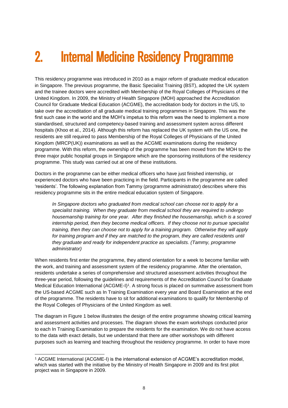# <span id="page-7-0"></span>2. Internal Medicine Residency Programme

This residency programme was introduced in 2010 as a major reform of graduate medical education in Singapore. The previous programme, the Basic Specialist Training (BST), adopted the UK system and the trainee doctors were accredited with Membership of the Royal Colleges of Physicians of the United Kingdom. In 2009, the Ministry of Health Singapore (MOH) approached the Accreditation Council for Graduate Medical Education (ACGME), the accreditation body for doctors in the US, to take over the accreditation of all graduate medical training programmes in Singapore. This was the first such case in the world and the MOH's impetus to this reform was the need to implement a more standardised, structured and competency-based training and assessment system across different hospitals (Khoo et al., 2014). Although this reform has replaced the UK system with the US one, the residents are still required to pass Membership of the Royal Colleges of Physicians of the United Kingdom (MRCP(UK)) examinations as well as the ACGME examinations during the residency programme. With this reform, the ownership of the programme has been moved from the MOH to the three major public hospital groups in Singapore which are the sponsoring institutions of the residency programme. This study was carried out at one of these institutions.

Doctors in the programme can be either medical officers who have just finished internship, or experienced doctors who have been practicing in the field. Participants in the programme are called 'residents'. The following explanation from Tammy (programme administrator) describes where this residency programme sits in the entire medical education system of Singapore.

*In Singapore doctors who graduated from medical school can choose not to apply for a specialist training. When they graduate from medical school they are required to undergo housemanship training for one year. After they finished the housemanship, which is a scored internship period, then they become medical officers. If they choose not to pursue specialist training, then they can choose not to apply for a training program. Otherwise they will apply for training program and if they are matched to the program, they are called residents until they graduate and ready for independent practice as specialists. (Tammy, programme administrator)*

When residents first enter the programme, they attend orientation for a week to become familiar with the work, and training and assessment system of the residency programme. After the orientation, residents undertake a series of comprehensive and structured assessment activities throughout the three-year period, following the guidelines and requirements of the Accreditation Council for Graduate Medical Education International (ACGME-I)<sup>1</sup>. A strong focus is placed on summative assessment from the US-based ACGME such as In Training Examination every year and Board Examination at the end of the programme. The residents have to sit for additional examinations to qualify for Membership of the Royal Colleges of Physicians of the United Kingdom as well.

The diagram in Figure 1 below illustrates the design of the entire programme showing critical learning and assessment activities and processes. The diagram shows the exam workshops conducted prior to each In Training Examination to prepare the residents for the examination. We do not have access to the data with exact details, but we understand that there are other workshops with different purposes such as learning and teaching throughout the residency programme. In order to have more

<sup>1</sup> <sup>1</sup> ACGME International (ACGME-I) is the international extension of ACGME's accreditation model, which was started with the initiative by the Ministry of Health Singapore in 2009 and its first pilot project was in Singapore in 2009.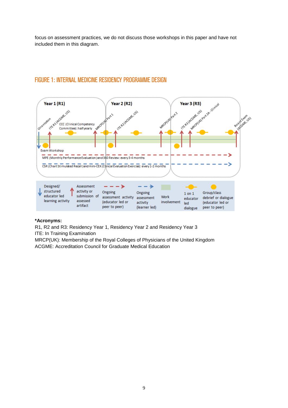focus on assessment practices, we do not discuss those workshops in this paper and have not included them in this diagram.



### <span id="page-8-0"></span>FIGURE 1: INTERNAL MEDICINE RESIDENCY PROGRAMME DESIGN

#### **\*Acronyms:**

R1, R2 and R3: Residency Year 1, Residency Year 2 and Residency Year 3 ITE: In Training Examination

MRCP(UK): Membership of the Royal Colleges of Physicians of the United Kingdom ACGME: Accreditation Council for Graduate Medical Education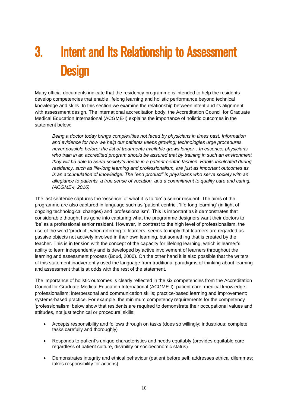# <span id="page-9-0"></span>3. Intent and Its Relationship to Assessment **Design**

Many official documents indicate that the residency programme is intended to help the residents develop competencies that enable lifelong learning and holistic performance beyond technical knowledge and skills. In this section we examine the relationship between intent and its alignment with assessment design. The international accreditation body, the Accreditation Council for Graduate Medical Education International (ACGME-I) explains the importance of holistic outcomes in the statement below:

*Being a doctor today brings complexities not faced by physicians in times past. Information and evidence for how we help our patients keeps growing; technologies urge procedures never possible before; the list of treatments available grows longer…In essence, physicians who train in an accredited program should be assured that by training in such an environment they will be able to serve society's needs in a patient-centric fashion. Habits inculcated during residency, such as life-long learning and professionalism, are just as important outcomes as is an accumulation of knowledge. The "end product" is physicians who serve society with an allegiance to patients, a true sense of vocation, and a commitment to quality care and caring. (ACGME-I, 2016)*

The last sentence captures the 'essence' of what it is to 'be' a senior resident. The aims of the programme are also captured in language such as 'patient-centric', 'life-long learning' (in light of ongoing technological changes) and 'professionalism'. This is important as it demonstrates that considerable thought has gone into capturing what the programme designers want their doctors to 'be' as a professional senior resident. However, in contrast to the high level of professionalism, the use of the word 'product', when referring to learners, seems to imply that learners are regarded as passive objects not actively involved in their own learning, but something that is created by the teacher. This is in tension with the concept of the capacity for lifelong learning, which is learner's ability to learn independently and is developed by active involvement of learners throughout the learning and assessment process (Boud, 2000). On the other hand it is also possible that the writers of this statement inadvertently used the language from traditional paradigms of thinking about learning and assessment that is at odds with the rest of the statement.

The importance of holistic outcomes is clearly reflected in the six competencies from the Accreditation Council for Graduate Medical Education International (ACGME-I): patient care; medical knowledge; professionalism; interpersonal and communication skills; practice-based learning and improvement; systems-based practice. For example, the minimum competency requirements for the competency 'professionalism' below show that residents are required to demonstrate their occupational values and attitudes, not just technical or procedural skills:

- Accepts responsibility and follows through on tasks (does so willingly; industrious; complete tasks carefully and thoroughly)
- Responds to patient's unique characteristics and needs equitably (provides equitable care regardless of patient culture, disability or socioeconomic status)
- Demonstrates integrity and ethical behaviour (patient before self; addresses ethical dilemmas; takes responsibility for actions)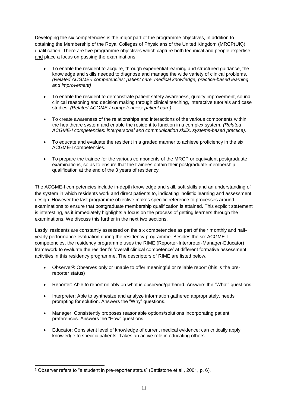Developing the six competencies is the major part of the programme objectives, in addition to obtaining the Membership of the Royal Colleges of Physicians of the United Kingdom (MRCP(UK)) qualification. There are five programme objectives which capture both technical and people expertise, and place a focus on passing the examinations:

- To enable the resident to acquire, through experiential learning and structured guidance, the knowledge and skills needed to diagnose and manage the wide variety of clinical problems. *(Related ACGME-I competencies: patient care, medical knowledge, practice-based learning and improvement)*
- To enable the resident to demonstrate patient safety awareness, quality improvement, sound clinical reasoning and decision making through clinical teaching, interactive tutorials and case studies. *(Related ACGME-I competencies: patient care)*
- To create awareness of the relationships and interactions of the various components within the healthcare system and enable the resident to function in a complex system. *(Related ACGME-I competencies: interpersonal and communication skills, systems-based practice).*
- To educate and evaluate the resident in a graded manner to achieve proficiency in the six ACGME-I competencies.
- To prepare the trainee for the various components of the MRCP or equivalent postgraduate examinations, so as to ensure that the trainees obtain their postgraduate membership qualification at the end of the 3 years of residency.

The ACGME-I competencies include in-depth knowledge and skill, soft skills and an understanding of the system in which residents work and direct patients to, indicating holistic learning and assessment design. However the last programme objective makes specific reference to processes around examinations to ensure that postgraduate membership qualification is attained. This explicit statement is interesting, as it immediately highlights a focus on the process of getting learners through the examinations. We discuss this further in the next two sections.

Lastly, residents are constantly assessed on the six competencies as part of their monthly and halfyearly performance evaluation during the residency programme. Besides the six ACGME-I competencies, the residency programme uses the RIME (Reporter-Interpreter-Manager-Educator) framework to evaluate the resident's 'overall clinical competence' at different formative assessment activities in this residency programme. The descriptors of RIME are listed below.

- Observer<sup>2</sup>: Observes only or unable to offer meaningful or reliable report (this is the prereporter status)
- Reporter: Able to report reliably on what is observed/gathered. Answers the "What" questions.
- Interpreter: Able to synthesize and analyze information gathered appropriately, needs prompting for solution. Answers the "Why" questions.
- Manager: Consistently proposes reasonable options/solutions incorporating patient preferences. Answers the "How" questions.
- Educator: Consistent level of knowledge of current medical evidence; can critically apply knowledge to specific patients. Takes an active role in educating others.

<sup>1</sup> <sup>2</sup> Observer refers to "a student in pre-reporter status" (Battistone et al., 2001, p. 6).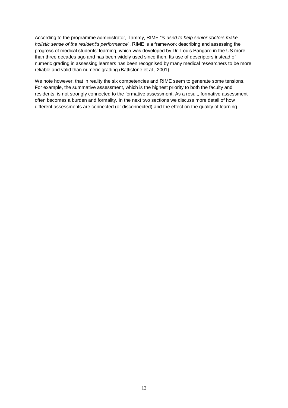According to the programme administrator, Tammy, RIME "*is used to help senior doctors make holistic sense of the resident's performance*". RIME is a framework describing and assessing the progress of medical students' learning, which was developed by Dr. Louis Pangaro in the US more than three decades ago and has been widely used since then. Its use of descriptors instead of numeric grading in assessing learners has been recognised by many medical researchers to be more reliable and valid than numeric grading (Battistone et al., 2001).

We note however, that in reality the six competencies and RIME seem to generate some tensions. For example, the summative assessment, which is the highest priority to both the faculty and residents, is not strongly connected to the formative assessment. As a result, formative assessment often becomes a burden and formality. In the next two sections we discuss more detail of how different assessments are connected (or disconnected) and the effect on the quality of learning.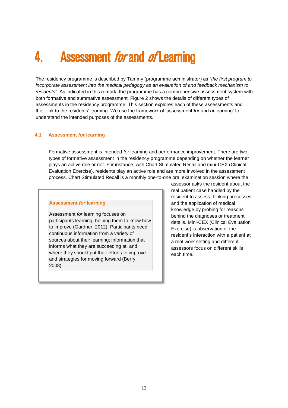### <span id="page-12-0"></span>4. Assessment *for* and *of* Learning

The residency programme is described by Tammy (programme administrator) as "*the first program to incorporate assessment into the medical pedagogy as an evaluation of and feedback mechanism to residents*". As indicated in this remark, the programme has a comprehensive assessment system with both formative and summative assessment. Figure 2 shows the details of different types of assessments in the residency programme. This section explores each of these assessments and their link to the residents' learning. We use the framework of 'assessment *for* and *of* learning' to understand the intended purposes of the assessments.

#### <span id="page-12-1"></span>**4.1 Assessment** *for* **learning**

Formative assessment is intended *for* learning and performance improvement. There are two types of formative assessment in the residency programme depending on whether the learner plays an active role or not. For instance, with Chart Stimulated Recall and mini-CEX (Clinical Evaluation Exercise), residents play an active role and are more involved in the assessment process. Chart Stimulated Recall is a monthly one-to-one oral examination session where the

#### **Assessment** *for* **learning**

Assessment *for* learning focuses on participants learning, helping them to know how to improve (Gardner, 2012). Participants need continuous information from a variety of sources about their learning; information that informs what they are succeeding at, and where they should put their efforts to improve and strategies for moving forward (Berry, 2008).

assessor asks the resident about the real patient case handled by the resident to assess thinking processes and the application of medical knowledge by probing for reasons behind the diagnoses or treatment details. Mini-CEX (Clinical Evaluation Exercise) is observation of the resident's interaction with a patient at a real work setting and different assessors focus on different skills each time.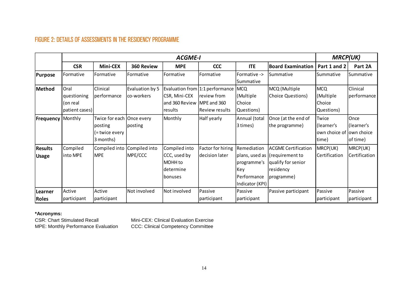### FIGURE 2: DETAILS OF ASSESSMENTS IN THE RESIDENCY PROGRAMME

|                                | <b>ACGME-I</b>                                    |                                                                       |                                |                                                                           |                                                                         |                                                                     |                                                                                                               |                                                           | <b>MRCP(UK)</b>                |  |
|--------------------------------|---------------------------------------------------|-----------------------------------------------------------------------|--------------------------------|---------------------------------------------------------------------------|-------------------------------------------------------------------------|---------------------------------------------------------------------|---------------------------------------------------------------------------------------------------------------|-----------------------------------------------------------|--------------------------------|--|
|                                | <b>CSR</b>                                        | <b>Mini-CEX</b>                                                       | 360 Review                     | <b>MPE</b>                                                                | <b>CCC</b>                                                              | <b>ITE</b>                                                          | <b>Board Examination</b>                                                                                      | Part 1 and 2                                              | Part 2A                        |  |
| Purpose                        | Formative                                         | Formative                                                             | Formative                      | Formative                                                                 | Formative                                                               | Formative -><br>Summative                                           | Summative                                                                                                     | Summative                                                 | Summative                      |  |
| Method                         | Oral<br>questioning<br>(on real<br>patient cases) | Clinical<br>performance                                               | Evaluation by 5<br>lco-workers | CSR, Mini-CEX<br>and 360 Review   MPE and 360<br>results                  | Evaluation from 1:1 performance<br>review from<br><b>Review results</b> | <b>MCQ</b><br>(Multiple<br>Choice<br>Questions)                     | MCQ (Multiple<br>Choice Questions)                                                                            | <b>MCQ</b><br>(Multiple)<br>Choice<br>Questions)          | Clinical<br>performance        |  |
| <b>Frequency</b>               | Monthly                                           | Twice for each   Once every<br>posting<br>(= twice every<br>3 months) | posting                        | Monthly                                                                   | Half yearly                                                             | Annual (total<br>3 times)                                           | Once (at the end of<br>the programme)                                                                         | Twice<br>(learner's<br>own choice of lown choice<br>time) | Once<br>(learner's<br>of time) |  |
| <b>Results</b><br><b>Usage</b> | Compiled<br>into MPE                              | Compiled into<br>MPE                                                  | Compiled into<br>MPE/CCC       | Compiled into<br>CCC, used by<br>MOHH to<br>ldetermine<br><b>Ibonuses</b> | Factor for hiring<br>decision later                                     | Remediation<br>programme's<br>Key<br>Performance<br>Indicator (KPI) | <b>ACGME Certification</b><br>plans, used as (requirement to<br>qualify for senior<br>residency<br>programme) | MRCP(UK)<br>Certification                                 | MRCP(UK)<br>Certification      |  |
| Learner<br><b>Roles</b>        | Active<br>participant                             | Active<br>participant                                                 | Not involved                   | Not involved                                                              | Passive<br>participant                                                  | Passive<br>participant                                              | Passive participant                                                                                           | Passive<br>participant                                    | Passive<br>participant         |  |

### <span id="page-13-0"></span>**\*Acronyms:**

CSR: Chart Stimulated Recall Mini-CEX: Clinical Evaluation Exercise MPE: Monthly Performance Evaluation CCC: Clinical Competency Committee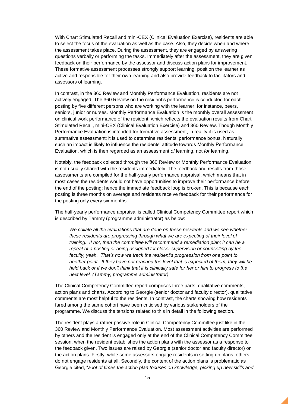With Chart Stimulated Recall and mini-CEX (Clinical Evaluation Exercise), residents are able to select the focus of the evaluation as well as the case. Also, they decide when and where the assessment takes place. During the assessment, they are engaged by answering questions verbally or performing the tasks. Immediately after the assessment, they are given feedback on their performance by the assessor and discuss action plans for improvement. These formative assessment processes strongly support learning, position the learner as active and responsible for their own learning and also provide feedback to facilitators and assessors of learning.

In contrast, in the 360 Review and Monthly Performance Evaluation, residents are not actively engaged. The 360 Review on the resident's performance is conducted for each posting by five different persons who are working with the learner: for instance, peers, seniors, junior or nurses. Monthly Performance Evaluation is the monthly overall assessment on clinical work performance of the resident, which reflects the evaluation results from Chart Stimulated Recall, mini-CEX (Clinical Evaluation Exercise) and 360 Review. Though Monthly Performance Evaluation is intended for formative assessment, in reality it is used as summative assessment; it is used to determine residents' performance bonus. Naturally such an impact is likely to influence the residents' attitude towards Monthly Performance Evaluation, which is then regarded as an assessment *of* learning, not *for* learning.

Notably, the feedback collected through the 360 Review or Monthly Performance Evaluation is not usually shared with the residents immediately. The feedback and results from those assessments are compiled for the half-yearly performance appraisal, which means that in most cases the residents would not have opportunities to improve their performance before the end of the posting; hence the immediate feedback loop is broken. This is because each posting is three months on average and residents receive feedback for their performance for the posting only every six months.

The half-yearly performance appraisal is called Clinical Competency Committee report which is described by Tammy (programme administrator) as below:

*We collate all the evaluations that are done on these residents and we see whether these residents are progressing through what we are expecting of their level of training. If not, then the committee will recommend a remediation plan; it can be a repeat of a posting or being assigned for closer supervision or counselling by the faculty, yeah. That's how we track the resident's progression from one point to another point. If they have not reached the level that is expected of them, they will be held back or if we don't think that it is clinically safe for her or him to progress to the next level. (Tammy, programme administrator)*

The Clinical Competency Committee report comprises three parts: qualitative comments, action plans and charts. According to Georgie (senior doctor and faculty director), qualitative comments are most helpful to the residents. In contrast, the charts showing how residents fared among the same cohort have been criticised by various stakeholders of the programme. We discuss the tensions related to this in detail in the following section.

The resident plays a rather passive role in Clinical Competency Committee just like in the 360 Review and Monthly Performance Evaluation. Most assessment activities are performed by others and the resident is engaged only at the end of the Clinical Competency Committee session, when the resident establishes the action plans with the assessor as a response to the feedback given. Two issues are raised by Georgie (senior doctor and faculty director) on the action plans. Firstly, while some assessors engage residents in setting up plans, others do not engage residents at all. Secondly, the content of the action plans is problematic as Georgie cited, "*a lot of times the action plan focuses on knowledge, picking up new skills and*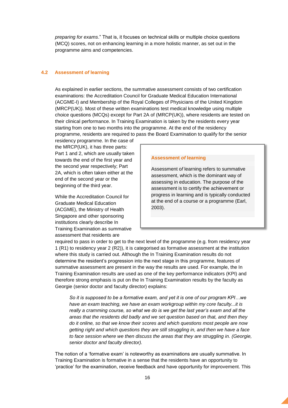*preparing for exams*." That is, it focuses on technical skills or multiple choice questions (MCQ) scores, not on enhancing learning in a more holistic manner, as set out in the programme aims and competencies.

#### <span id="page-15-0"></span>**4.2 Assessment** *of* **learning**

As explained in earlier sections, the summative assessment consists of two certification examinations: the Accreditation Council for Graduate Medical Education International (ACGME-I) and Membership of the Royal Colleges of Physicians of the United Kingdom (MRCP(UK)). Most of these written examinations test medical knowledge using multiple choice questions (MCQs) except for Part 2A of (MRCP(UK)), where residents are tested on their clinical performance. In Training Examination is taken by the residents every year starting from one to two months into the programme. At the end of the residency programme, residents are required to pass the Board Examination to qualify for the senior

residency programme. In the case of the MRCP(UK), it has three parts: Part 1 and 2, which are usually taken towards the end of the first year and the second year respectively; Part 2A, which is often taken either at the end of the second year or the beginning of the third year.

While the Accreditation Council for Graduate Medical Education (ACGME), the Ministry of Health Singapore and other sponsoring institutions clearly describe In Training Examination as summative assessment that residents are

#### **Assessment** *of* **learning**

Assessment o*f* learning refers to summative assessment, which is the dominant way of assessing in education. The purpose of the assessment is to certify the achievement or progress in learning and is typically conducted at the end of a course or a programme (Earl, 2003).

required to pass in order to get to the next level of the programme (e.g. from residency year 1 (R1) to residency year 2 (R2)), it is categorised as formative assessment at the institution where this study is carried out. Although the In Training Examination results do not determine the resident's progression into the next stage in this programme, features of summative assessment are present in the way the results are used. For example, the In Training Examination results are used as one of the key performance indicators (KPI) and therefore strong emphasis is put on the In Training Examination results by the faculty as Georgie (senior doctor and faculty director) explains:

*So it is supposed to be a formative exam, and yet it is one of our program KPI…we have an exam teaching, we have an exam workgroup within my core faculty...it is really a cramming course, so what we do is we get the last year's exam and all the areas that the residents did badly and we set question based on that, and then they do it online, so that we know their scores and which questions most people are now getting right and which questions they are still struggling in, and then we have a face to face session where we then discuss the areas that they are struggling in. (Georgie, senior doctor and faculty director).*

The notion of a 'formative exam' is noteworthy as examinations are usually summative. In Training Examination is formative in a sense that the residents have an opportunity to 'practice' for the examination, receive feedback and have opportunity for improvement. This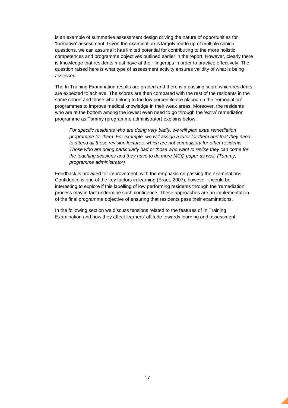is an example of summative assessment design driving the nature of opportunities for 'formative' assessment. Given the examination is largely made up of multiple choice questions, we can assume it has limited potential for contributing to the more holistic competences and programme objectives outlined earlier in the report. However, clearly there is knowledge that residents must have at their fingertips in order to practice effectively. The question raised here is what type of assessment activity ensures validity of what is being assessed.

The In Training Examination results are graded and there is a passing score which residents are expected to achieve. The scores are then compared with the rest of the residents in the same cohort and those who belong to the low percentile are placed on the 'remediation' programmes to improve medical knowledge in their weak areas. Moreover, the residents who are at the bottom among the lowest even need to go through the 'extra' remediation programme as Tammy (programme administrator) explains below:

*For specific residents who are doing very badly, we will plan extra remediation programme for them. For example, we will assign a tutor for them and that they need to attend all these revision lectures, which are not compulsory for other residents. Those who are doing particularly bad or those who want to revise they can come for the teaching sessions and they have to do more MCQ paper as well. (Tammy, programme administrator)*

Feedback is provided for improvement, with the emphasis on passing the examinations. Confidence is one of the key factors in learning (Eraut, 2007), however it would be interesting to explore if this labelling of low performing residents through the 'remediation' process may in fact undermine such confidence. These approaches are an implementation of the final programme objective of ensuring that residents pass their examinations.

In the following section we discuss tensions related to the features of In Training Examination and how they affect learners' attitude towards learning and assessment.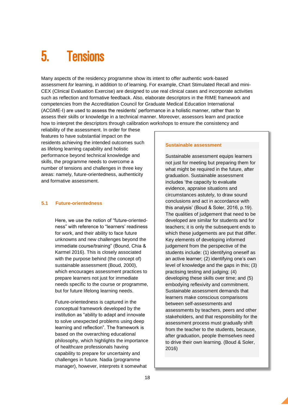### <span id="page-17-0"></span>5. Tensions

Many aspects of the residency programme show its intent to offer authentic work-based assessment *for* learning, in addition to *of* learning. For example, Chart Stimulated Recall and mini-CEX (Clinical Evaluation Exercise) are designed to use real clinical cases and incorporate activities such as reflection and formative feedback. Also, elaborate descriptors in the RIME framework and competencies from the Accreditation Council for Graduate Medical Education International (ACGME-I) are used to assess the residents' performance in a holistic manner, rather than to assess their skills or knowledge in a technical manner. Moreover, assessors learn and practice how to interpret the descriptors through calibration workshops to ensure the consistency and

reliability of the assessment. In order for these features to have substantial impact on the residents achieving the intended outcomes such as lifelong learning capability and holistic performance beyond technical knowledge and skills, the programme needs to overcome a number of tensions and challenges in three key areas: namely, future-orientedness, authenticity and formative assessment.

#### <span id="page-17-1"></span>**5.1 Future-orientedness**

Here, we use the notion of "future-orientedness" with reference to "learners' readiness for work, and their ability to face future unknowns and new challenges beyond the immediate course/training" (Bound, Chia & Karmel 2016). This is closely associated with the purpose behind (the concept of) sustainable assessment (Boud, 2000), which encourages assessment practices to prepare learners not just for immediate needs specific to the course or programme, but for future lifelong learning needs.

Future-orientedness is captured in the conceptual framework developed by the institution as "ability to adapt and innovate to solve unexpected problems using deep learning and reflection". The framework is based on the overarching educational philosophy, which highlights the importance of healthcare professionals having capability to prepare for uncertainty and challenges in future. Nadia (programme manager), however, interprets it somewhat

#### **Sustainable assessment**

Sustainable assessment equips learners not just for meeting but preparing them for what might be required in the future, after graduation. Sustainable assessment includes 'the capacity to evaluate evidence, appraise situations and circumstances astutely, to draw sound conclusions and act in accordance with this analysis' (Boud & Soler, 2016, p.19). The qualities of judgement that need to be developed are similar for students and for teachers; it is only the subsequent ends to which these judgements are put that differ. Key elements of developing informed judgement from the perspective of the students include: (1) identifying oneself as an active learner; (2) identifying one's own level of knowledge and the gaps in this; (3) practising testing and judging; (4) developing these skills over time; and (5) embodying reflexivity and commitment. Sustainable assessment demands that learners make conscious comparisons between self-assessments and assessments by teachers, peers and other stakeholders, and that responsibility for the assessment process must gradually shift from the teacher to the students, because, after graduation, people themselves need to drive their own learning. (Boud & Soler, 2016)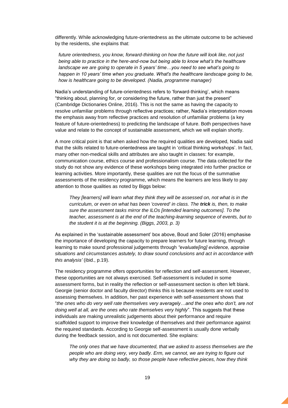differently. While acknowledging future-orientedness as the ultimate outcome to be achieved by the residents, she explains that:

*future orientedness, you know, forward-thinking on how the future will look like, not just being able to practice in the here-and-now but being able to know what's the healthcare landscape we are going to operate in 5 years' time…you need to see what's going to happen in 10 years' time when you graduate. What's the healthcare landscape going to be, how is healthcare going to be developed. (Nadia, programme manager)*

Nadia's understanding of future-orientedness refers to 'forward-thinking', which means "thinking about, planning for, or considering the future, rather than just the present" (Cambridge Dictionaries Online, 2016). This is not the same as having the capacity to resolve unfamiliar problems through reflective practices; rather, Nadia's interpretation moves the emphasis away from reflective practices and resolution of unfamiliar problems (a key feature of future-orientedness) to predicting the landscape of future. Both perspectives have value and relate to the concept of sustainable assessment, which we will explain shortly.

A more critical point is that when asked how the required qualities are developed, Nadia said that the skills related to future-orientedness are taught in 'critical thinking workshops'. In fact, many other non-medical skills and attributes are also taught in classes: for example, communication course, ethics course and professionalism course. The data collected for the study do not show any evidence of these workshops being integrated into further practice or learning activities. More importantly, these qualities are not the focus of the summative assessments of the residency programme, which means the learners are less likely to pay attention to those qualities as noted by Biggs below:

*They [learners] will learn what they think they will be assessed on, not what is in the curriculum, or even on what has been 'covered' in class. The trick is, then, to make sure the assessment tasks mirror the ILOs [intended learning outcomes]. To the teacher, assessment is at the end of the teaching-learning sequence of events, but to the student it is at the beginning. (Biggs, 2003, p. 3)*

As explained in the 'sustainable assessment' box above, Boud and Soler (2016) emphasise the importance of developing the capacity to prepare learners for future learning, through learning to make sound professional judgements through *"evaluate[ing] evidence, appraise situations and circumstances astutely, to draw sound conclusions and act in accordance with this analysis'* (ibid., p.19).

The residency programme offers opportunities for reflection and self-assessment. However, these opportunities are not always exercised. Self-assessment is included in some assessment forms, but in reality the reflection or self-assessment section is often left blank. Georgie (senior doctor and faculty director) thinks this is because residents are not used to assessing themselves. In addition, her past experience with self-assessment shows that "*the ones who do very well rate themselves very averagely…and the ones who don't, are not doing well at all, are the ones who rate themselves very highly*". This suggests that these individuals are making unrealistic judgements about their performance and require scaffolded support to improve their knowledge of themselves and their performance against the required standards. According to Georgie self-assessment is usually done verbally during the feedback session, and is not documented. She explains:

*The only ones that we have documented, that we asked to assess themselves are the people who are doing very, very badly. Erm, we cannot, we are trying to figure out why they are doing so badly, so those people have reflective pieces, how they think*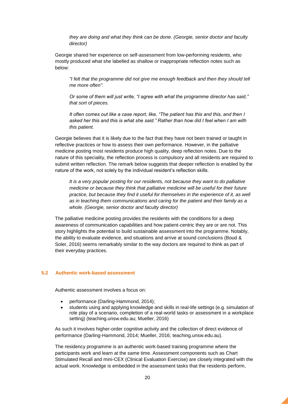*they are doing and what they think can be done. (Georgie, senior doctor and faculty director)*

Georgie shared her experience on self-assessment from low-performing residents, who mostly produced what she labelled as shallow or inappropriate reflection notes such as below:

*"I felt that the programme did not give me enough feedback and then they should tell me more often".* 

*Or some of them will just write, "I agree with what the programme director has said," that sort of pieces.* 

*It often comes out like a case report, like, "The patient has this and this, and then I asked her this and this is what she said." Rather than how did I feel when I am with this patient.*

Georgie believes that it is likely due to the fact that they have not been trained or taught in reflective practices or how to assess their own performance. However, in the palliative medicine posting most residents produce high quality, deep reflection notes. Due to the nature of this speciality, the reflection process is compulsory and all residents are required to submit written reflection. The remark below suggests that deeper reflection is enabled by the nature of the work, not solely by the individual resident's reflection skills.

*It is a very popular posting for our residents, not because they want to do palliative medicine or because they think that palliative medicine will be useful for their future practice, but because they find it useful for themselves in the experience of it, as well as in teaching them communications and caring for the patient and their family as a whole. (Georgie, senior doctor and faculty director)*

The palliative medicine posting provides the residents with the conditions for a deep awareness of communication capabilities and how patient-centric they are or are not. This story highlights the potential to build sustainable assessment into the programme. Notably, the ability to evaluate evidence, and situations and arrive at sound conclusions (Boud & Soler, 2016) seems remarkably similar to the way doctors are required to think as part of their everyday practices.

#### <span id="page-19-0"></span>**5.2 Authentic work-based assessment**

Authentic assessment involves a focus on:

- performance (Darling-Hammond, 2014);
- students using and applying knowledge and skills in real-life settings (e.g. simulation of role play of a scenario, completion of a real-world tasks or assessment in a workplace setting) (teaching.unsw.edu.au; Mueller, 2016)

As such it involves higher-order cognitive activity and the collection of direct evidence of performance (Darling-Hammond, 2014; Mueller, 2016; teaching.unsw.edu.au).

The residency programme is an authentic work-based training programme where the participants work and learn at the same time. Assessment components such as Chart Stimulated Recall and mini-CEX (Clinical Evaluation Exercise) are closely integrated with the actual work. Knowledge is embedded in the assessment tasks that the residents perform,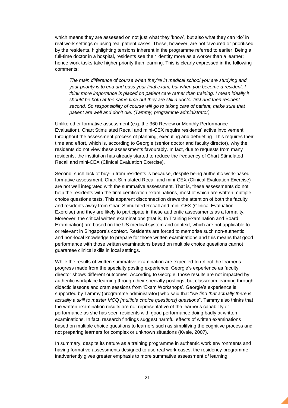which means they are assessed on not just what they 'know', but also what they can 'do' in real work settings or using real patient cases. These, however, are not favoured or prioritised by the residents, highlighting tensions inherent in the programme referred to earlier. Being a full-time doctor in a hospital, residents see their identity more as a worker than a learner; hence work tasks take higher priority than learning. This is clearly expressed in the following comments:

*The main difference of course when they're in medical school you are studying and your priority is to end and pass your final exam, but when you become a resident, I think more importance is placed on patient care rather than training. I mean ideally it should be both at the same time but they are still a doctor first and then resident second. So responsibility of course will go to taking care of patient, make sure that patient are well and don't die. (Tammy, programme administrator)*

Unlike other formative assessment (e.g. the 360 Review or Monthly Performance Evaluation), Chart Stimulated Recall and mini-CEX require residents' active involvement throughout the assessment process of planning, executing and debriefing. This requires their time and effort, which is, according to Georgie (senior doctor and faculty director), why the residents do not view these assessments favourably. In fact, due to requests from many residents, the institution has already started to reduce the frequency of Chart Stimulated Recall and mini-CEX (Clinical Evaluation Exercise).

Second, such lack of buy-in from residents is because, despite being authentic work-based formative assessment, Chart Stimulated Recall and mini-CEX (Clinical Evaluation Exercise) are not well integrated with the summative assessment. That is, these assessments do not help the residents with the final certification examinations, most of which are written multiple choice questions tests. This apparent disconnection draws the attention of both the faculty and residents away from Chart Stimulated Recall and mini-CEX (Clinical Evaluation Exercise) and they are likely to participate in these authentic assessments as a formality. Moreover, the critical written examinations (that is, In Training Examination and Board Examination) are based on the US medical system and context, which are not applicable to or relevant in Singapore's context. Residents are forced to memorise such non-authentic and non-local knowledge to prepare for those written examinations and this means that good performance with those written examinations based on multiple choice questions cannot guarantee clinical skills in local settings.

While the results of written summative examination are expected to reflect the learner's progress made from the specialty posting experience, Georgie's experience as faculty director shows different outcomes. According to Georgie, those results are not impacted by authentic workplace learning through their specialty postings, but classroom learning through didactic lessons and cram sessions from 'Exam Workshops'. Georgie's experience is supported by Tammy (programme administrator) who said that "*we find that actually there is actually a skill to master MCQ [multiple choice questions] questions*". Tammy also thinks that the written examination results are not representative of the learner's capability or performance as she has seen residents with good performance doing badly at written examinations. In fact, research findings suggest harmful effects of written examinations based on multiple choice questions to learners such as simplifying the cognitive process and not preparing learners for complex or unknown situations (Kvale, 2007).

In summary, despite its nature as a training programme in authentic work environments and having formative assessments designed to use real work cases, the residency programme inadvertently gives greater emphasis to more summative assessment *of* learning.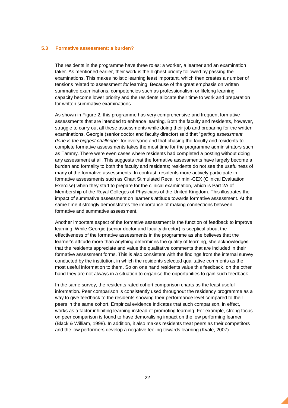#### <span id="page-21-0"></span>**5.3 Formative assessment: a burden?**

The residents in the programme have three roles: a worker, a learner and an examination taker. As mentioned earlier, their work is the highest priority followed by passing the examinations. This makes holistic learning least important, which then creates a number of tensions related to assessment *for* learning. Because of the great emphasis on written summative examinations, competencies such as professionalism or lifelong learning capacity become lower priority and the residents allocate their time to work and preparation for written summative examinations.

As shown in Figure 2, this programme has very comprehensive and frequent formative assessments that are intended to enhance learning. Both the faculty and residents, however, struggle to carry out all these assessments while doing their job and preparing for the written examinations. Georgie (senior doctor and faculty director) said that "*getting assessment done is the biggest challenge*" for everyone and that chasing the faculty and residents to complete formative assessments takes the most time for the programme administrators such as Tammy. There were even cases where residents had completed a posting without doing any assessment at all. This suggests that the formative assessments have largely become a burden and formality to both the faculty and residents; residents do not see the usefulness of many of the formative assessments. In contrast, residents more actively participate in formative assessments such as Chart Stimulated Recall or mini-CEX (Clinical Evaluation Exercise) when they start to prepare for the clinical examination, which is Part 2A of Membership of the Royal Colleges of Physicians of the United Kingdom. This illustrates the impact of summative assessment on learner's attitude towards formative assessment. At the same time it strongly demonstrates the importance of making connections between formative and summative assessment.

Another important aspect of the formative assessment is the function of feedback to improve learning. While Georgie (senior doctor and faculty director) is sceptical about the effectiveness of the formative assessments in the programme as she believes that the learner's attitude more than anything determines the quality of learning, she acknowledges that the residents appreciate and value the qualitative comments that are included in their formative assessment forms. This is also consistent with the findings from the internal survey conducted by the institution, in which the residents selected qualitative comments as the most useful information to them. So on one hand residents value this feedback, on the other hand they are not always in a situation to organise the opportunities to gain such feedback.

In the same survey, the residents rated cohort comparison charts as the least useful information. Peer comparison is consistently used throughout the residency programme as a way to give feedback to the residents showing their performance level compared to their peers in the same cohort. Empirical evidence indicates that such comparison, in effect, works as a factor inhibiting learning instead of promoting learning. For example, strong focus on peer comparison is found to have demoralising impact on the low performing learner (Black & William, 1998). In addition, it also makes residents treat peers as their competitors and the low performers develop a negative feeling towards learning (Kvale, 2007).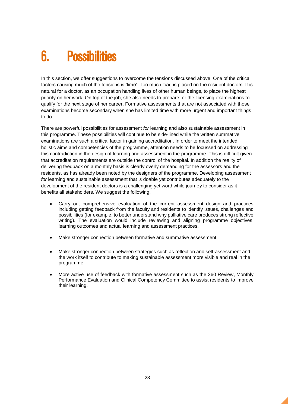## <span id="page-22-0"></span>6. Possibilities

In this section, we offer suggestions to overcome the tensions discussed above. One of the critical factors causing much of the tensions is 'time'. Too much load is placed on the resident doctors. It is natural for a doctor, as an occupation handling lives of other human beings, to place the highest priority on her work. On top of the job, she also needs to prepare for the licensing examinations to qualify for the next stage of her career. Formative assessments that are not associated with those examinations become secondary when she has limited time with more urgent and important things to do.

There are powerful possibilities for assessment *for* learning and also sustainable assessment in this programme. These possibilities will continue to be side-lined while the written summative examinations are such a critical factor in gaining accreditation. In order to meet the intended holistic aims and competencies of the programme, attention needs to be focussed on addressing this contradiction in the design of learning and assessment in the programme. This is difficult given that accreditation requirements are outside the control of the hospital. In addition the reality of delivering feedback on a monthly basis is clearly overly demanding for the assessors and the residents, as has already been noted by the designers of the programme. Developing assessment *for* learning and sustainable assessment that is doable yet contributes adequately to the development of the resident doctors is a challenging yet worthwhile journey to consider as it benefits all stakeholders. We suggest the following.

- Carry out comprehensive evaluation of the current assessment design and practices including getting feedback from the faculty and residents to identify issues, challenges and possibilities (for example, to better understand why palliative care produces strong reflective writing). The evaluation would include reviewing and aligning programme objectives, learning outcomes and actual learning and assessment practices.
- Make stronger connection between formative and summative assessment.
- Make stronger connection between strategies such as reflection and self-assessment and the work itself to contribute to making sustainable assessment more visible and real in the programme.
- More active use of feedback with formative assessment such as the 360 Review, Monthly Performance Evaluation and Clinical Competency Committee to assist residents to improve their learning.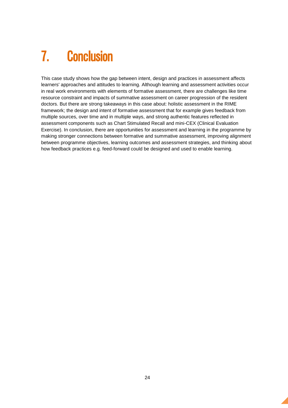## <span id="page-23-0"></span>7. Conclusion

This case study shows how the gap between intent, design and practices in assessment affects learners' approaches and attitudes to learning. Although learning and assessment activities occur in real work environments with elements of formative assessment, there are challenges like time resource constraint and impacts of summative assessment on career progression of the resident doctors. But there are strong takeaways in this case about: holistic assessment in the RIME framework; the design and intent of formative assessment that for example gives feedback from multiple sources, over time and in multiple ways, and strong authentic features reflected in assessment components such as Chart Stimulated Recall and mini-CEX (Clinical Evaluation Exercise). In conclusion, there are opportunities for assessment and learning in the programme by making stronger connections between formative and summative assessment, improving alignment between programme objectives, learning outcomes and assessment strategies, and thinking about how feedback practices e.g. feed-forward could be designed and used to enable learning.